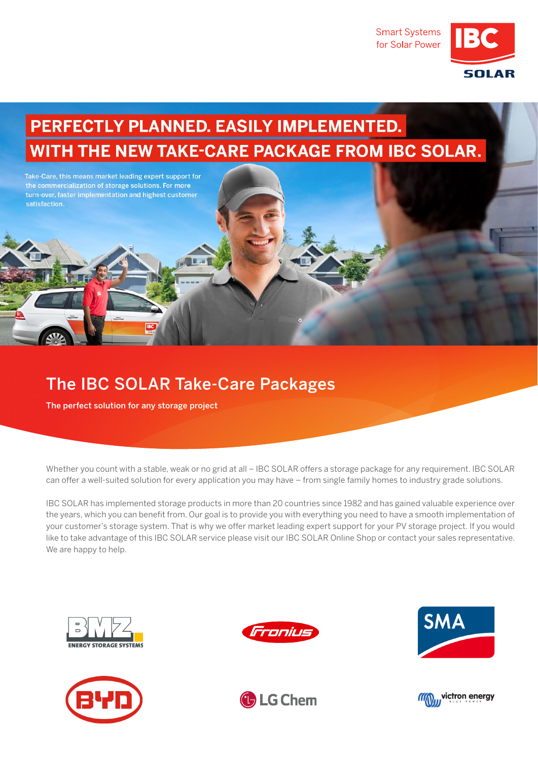**Smart Systems** for Solar Power



## PERFECTLY PLANNED. EASILY IMPLEMENTED. WITH THE NEW TAKE-CARE PACKAGE FROM IBC SOLAR.



## The IBC SOLAR Take-Care Packages

The perfect solution for any storage project

Whether you count with a stable, weak or no grid at all – IBC SOLAR offers a storage package for any requirement. IBC SOLAR can offer a well-suited solution for every application you may have – from single family homes to industry grade solutions.

IBC SOLAR has implemented storage products in more than 20 countries since 1982 and has gained valuable experience over the years, which you can benefit from. Our goal is to provide you with everything you need to have a smooth implementation of your customer's storage system. That is why we offer market leading expert support for your PV storage project. If you would like to take advantage of this IBC SOLAR service please visit our IBC SOLAR Online Shop or contact your sales representative. We are happy to help.